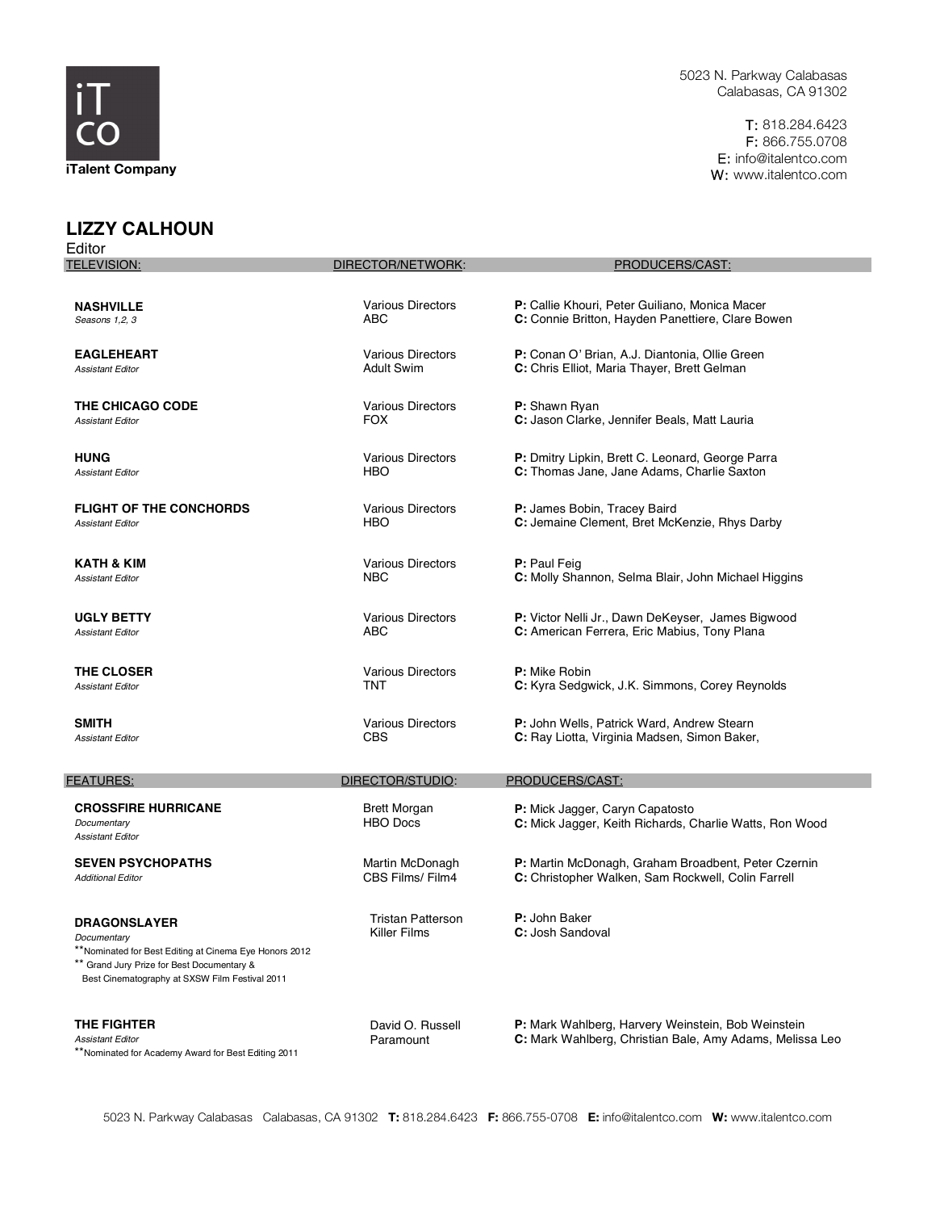

T: 818.284.6423 F: 866.755.0708 E: info@italentco.com W: www.italentco.com

## **LIZZY CALHOUN**

| Editor                                                                                                                                                                                       |                                                 |                                                                                                                |
|----------------------------------------------------------------------------------------------------------------------------------------------------------------------------------------------|-------------------------------------------------|----------------------------------------------------------------------------------------------------------------|
| <b>TELEVISION:</b>                                                                                                                                                                           | DIRECTOR/NETWORK:                               | PRODUCERS/CAST:                                                                                                |
|                                                                                                                                                                                              |                                                 |                                                                                                                |
| <b>NASHVILLE</b>                                                                                                                                                                             | <b>Various Directors</b>                        | P: Callie Khouri, Peter Guiliano, Monica Macer                                                                 |
| Seasons 1,2, 3                                                                                                                                                                               | ABC                                             | C: Connie Britton, Hayden Panettiere, Clare Bowen                                                              |
| <b>EAGLEHEART</b>                                                                                                                                                                            | <b>Various Directors</b>                        | P: Conan O' Brian, A.J. Diantonia, Ollie Green                                                                 |
| <b>Assistant Editor</b>                                                                                                                                                                      | <b>Adult Swim</b>                               | C: Chris Elliot, Maria Thayer, Brett Gelman                                                                    |
| <b>THE CHICAGO CODE</b>                                                                                                                                                                      | <b>Various Directors</b>                        | <b>P:</b> Shawn Ryan                                                                                           |
| <b>Assistant Editor</b>                                                                                                                                                                      | <b>FOX</b>                                      | C: Jason Clarke, Jennifer Beals, Matt Lauria                                                                   |
| <b>HUNG</b>                                                                                                                                                                                  | <b>Various Directors</b>                        | P: Dmitry Lipkin, Brett C. Leonard, George Parra                                                               |
| <b>Assistant Editor</b>                                                                                                                                                                      | <b>HBO</b>                                      | C: Thomas Jane, Jane Adams, Charlie Saxton                                                                     |
| <b>FLIGHT OF THE CONCHORDS</b>                                                                                                                                                               | <b>Various Directors</b>                        | P: James Bobin, Tracey Baird                                                                                   |
| <b>Assistant Editor</b>                                                                                                                                                                      | HBO                                             | C: Jemaine Clement, Bret McKenzie, Rhys Darby                                                                  |
| KATH & KIM                                                                                                                                                                                   | <b>Various Directors</b>                        | P: Paul Feig                                                                                                   |
| <b>Assistant Editor</b>                                                                                                                                                                      | <b>NBC</b>                                      | C: Molly Shannon, Selma Blair, John Michael Higgins                                                            |
| <b>UGLY BETTY</b>                                                                                                                                                                            | <b>Various Directors</b>                        | P: Victor Nelli Jr., Dawn DeKeyser, James Bigwood                                                              |
| <b>Assistant Editor</b>                                                                                                                                                                      | ABC                                             | C: American Ferrera, Eric Mabius, Tony Plana                                                                   |
| <b>THE CLOSER</b>                                                                                                                                                                            | <b>Various Directors</b>                        | <b>P:</b> Mike Robin                                                                                           |
| <b>Assistant Editor</b>                                                                                                                                                                      | <b>TNT</b>                                      | C: Kyra Sedgwick, J.K. Simmons, Corey Reynolds                                                                 |
| <b>SMITH</b>                                                                                                                                                                                 | <b>Various Directors</b>                        | <b>P:</b> John Wells, Patrick Ward, Andrew Stearn                                                              |
| <b>Assistant Editor</b>                                                                                                                                                                      | <b>CBS</b>                                      | C: Ray Liotta, Virginia Madsen, Simon Baker,                                                                   |
| <b>FEATURES:</b>                                                                                                                                                                             | DIRECTOR/STUDIO:                                | PRODUCERS/CAST:                                                                                                |
| <b>CROSSFIRE HURRICANE</b><br>Documentary<br><b>Assistant Editor</b>                                                                                                                         | <b>Brett Morgan</b><br><b>HBO</b> Docs          | P: Mick Jagger, Caryn Capatosto<br>C: Mick Jagger, Keith Richards, Charlie Watts, Ron Wood                     |
| <b>SEVEN PSYCHOPATHS</b>                                                                                                                                                                     | Martin McDonagh                                 | P: Martin McDonagh, Graham Broadbent, Peter Czernin                                                            |
| <b>Additional Editor</b>                                                                                                                                                                     | CBS Films/Film4                                 | C: Christopher Walken, Sam Rockwell, Colin Farrell                                                             |
| <b>DRAGONSLAYER</b><br>Documentary<br>**Nominated for Best Editing at Cinema Eye Honors 2012<br>** Grand Jury Prize for Best Documentary &<br>Best Cinematography at SXSW Film Festival 2011 | <b>Tristan Patterson</b><br><b>Killer Films</b> | <b>P:</b> John Baker<br>C: Josh Sandoval                                                                       |
| THE FIGHTER<br><b>Assistant Editor</b><br>**Nominated for Academy Award for Best Editing 2011                                                                                                | David O. Russell<br>Paramount                   | P: Mark Wahlberg, Harvery Weinstein, Bob Weinstein<br>C: Mark Wahlberg, Christian Bale, Amy Adams, Melissa Leo |